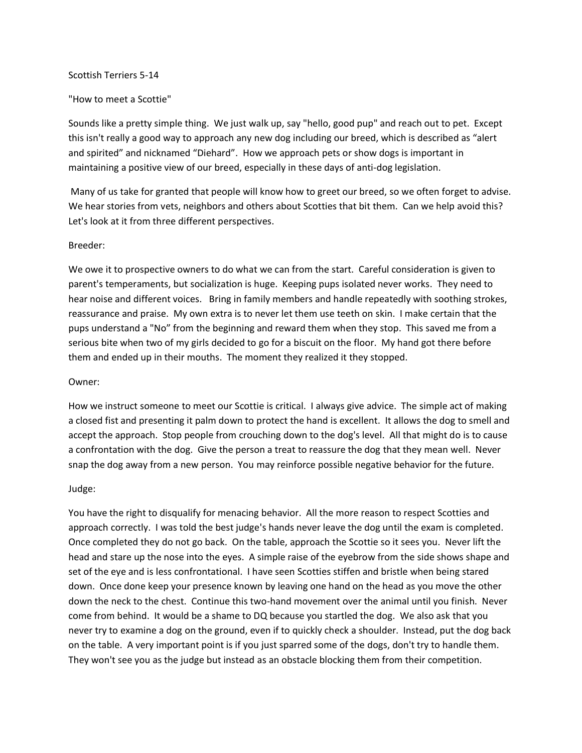### Scottish Terriers 5-14

# "How to meet a Scottie"

Sounds like a pretty simple thing. We just walk up, say "hello, good pup" and reach out to pet. Except this isn't really a good way to approach any new dog including our breed, which is described as "alert and spirited" and nicknamed "Diehard". How we approach pets or show dogs is important in maintaining a positive view of our breed, especially in these days of anti-dog legislation.

Many of us take for granted that people will know how to greet our breed, so we often forget to advise. We hear stories from vets, neighbors and others about Scotties that bit them. Can we help avoid this? Let's look at it from three different perspectives.

# Breeder:

We owe it to prospective owners to do what we can from the start. Careful consideration is given to parent's temperaments, but socialization is huge. Keeping pups isolated never works. They need to hear noise and different voices. Bring in family members and handle repeatedly with soothing strokes, reassurance and praise. My own extra is to never let them use teeth on skin. I make certain that the pups understand a "No" from the beginning and reward them when they stop. This saved me from a serious bite when two of my girls decided to go for a biscuit on the floor. My hand got there before them and ended up in their mouths. The moment they realized it they stopped.

### Owner:

How we instruct someone to meet our Scottie is critical. I always give advice. The simple act of making a closed fist and presenting it palm down to protect the hand is excellent. It allows the dog to smell and accept the approach. Stop people from crouching down to the dog's level. All that might do is to cause a confrontation with the dog. Give the person a treat to reassure the dog that they mean well. Never snap the dog away from a new person. You may reinforce possible negative behavior for the future.

#### Judge:

You have the right to disqualify for menacing behavior. All the more reason to respect Scotties and approach correctly. I was told the best judge's hands never leave the dog until the exam is completed. Once completed they do not go back. On the table, approach the Scottie so it sees you. Never lift the head and stare up the nose into the eyes. A simple raise of the eyebrow from the side shows shape and set of the eye and is less confrontational. I have seen Scotties stiffen and bristle when being stared down. Once done keep your presence known by leaving one hand on the head as you move the other down the neck to the chest. Continue this two-hand movement over the animal until you finish. Never come from behind. It would be a shame to DQ because you startled the dog. We also ask that you never try to examine a dog on the ground, even if to quickly check a shoulder. Instead, put the dog back on the table. A very important point is if you just sparred some of the dogs, don't try to handle them. They won't see you as the judge but instead as an obstacle blocking them from their competition.